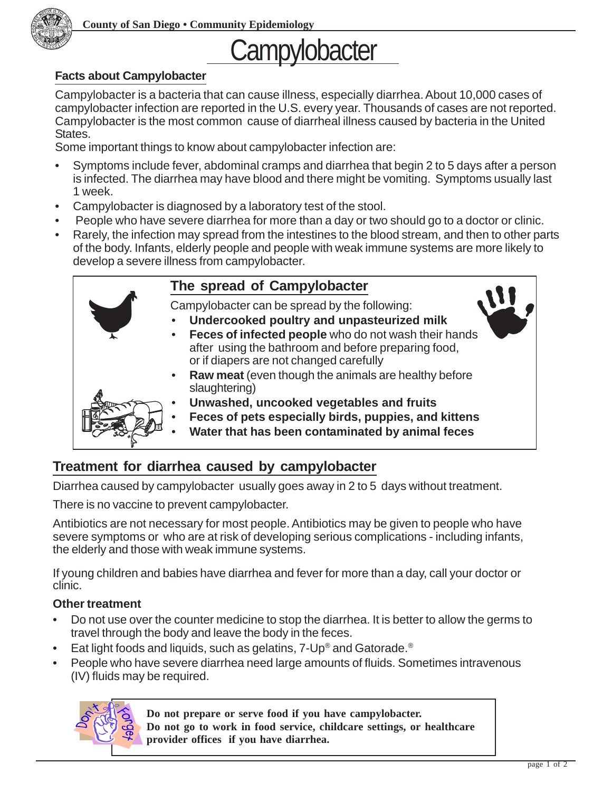

# Campylobacter

#### **Facts about Campylobacter**

Campylobacter is a bacteria that can cause illness, especially diarrhea. About 10,000 cases of campylobacter infection are reported in the U.S. every year. Thousands of cases are not reported. Campylobacter is the most common cause of diarrheal illness caused by bacteria in the United States.

Some important things to know about campylobacter infection are:

- Symptoms include fever, abdominal cramps and diarrhea that begin 2 to 5 days after a person is infected. The diarrhea may have blood and there might be vomiting. Symptoms usually last 1 week.
- Campylobacter is diagnosed by a laboratory test of the stool.
- People who have severe diarrhea for more than a day or two should go to a doctor or clinic.
- Rarely, the infection may spread from the intestines to the blood stream, and then to other parts of the body. Infants, elderly people and people with weak immune systems are more likely to develop a severe illness from campylobacter.

### **The spread of Campylobacter**

Campylobacter can be spread by the following:

- **Undercooked poultry and unpasteurized milk**
- **Feces of infected people** who do not wash their hands after using the bathroom and before preparing food, or if diapers are not changed carefully
- **Raw meat** (even though the animals are healthy before slaughtering)
- **Unwashed, uncooked vegetables and fruits**
- **Feces of pets especially birds, puppies, and kittens**
- **Water that has been contaminated by animal feces**

## **Treatment for diarrhea caused by campylobacter**

Diarrhea caused by campylobacter usually goes away in 2 to 5 days without treatment.

There is no vaccine to prevent campylobacter.

Antibiotics are not necessary for most people. Antibiotics may be given to people who have severe symptoms or who are at risk of developing serious complications - including infants, the elderly and those with weak immune systems.

If young children and babies have diarrhea and fever for more than a day, call your doctor or clinic.

#### **Other treatment**

- Do not use over the counter medicine to stop the diarrhea. It is better to allow the germs to travel through the body and leave the body in the feces.
- Eat light foods and liquids, such as gelatins, 7-Up® and Gatorade.®
- People who have severe diarrhea need large amounts of fluids. Sometimes intravenous (IV) fluids may be required.



**Do not prepare or serve food if you have campylobacter. Do not go to work in food service, childcare settings, or healthcare provider offices if you have diarrhea.**